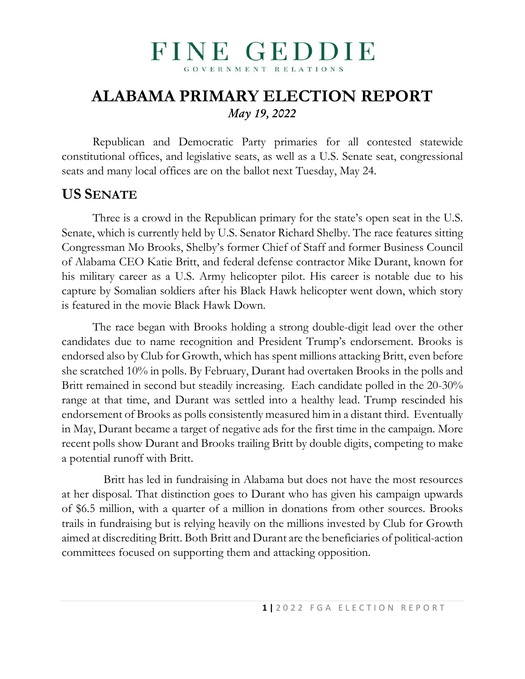### FINE GEDDIE GOVERNMENT RELATIONS

## **ALABAMA PRIMARY ELECTION REPORT** *May 19, 2022*

Republican and Democratic Party primaries for all contested statewide constitutional offices, and legislative seats, as well as a U.S. Senate seat, congressional seats and many local offices are on the ballot next Tuesday, May 24.

## **US SENATE**

Three is a crowd in the Republican primary for the state's open seat in the U.S. Senate, which is currently held by U.S. Senator Richard Shelby. The race features sitting Congressman Mo Brooks, Shelby's former Chief of Staff and former Business Council of Alabama CEO Katie Britt, and federal defense contractor Mike Durant, known for his military career as a U.S. Army helicopter pilot. His career is notable due to his capture by Somalian soldiers after his Black Hawk helicopter went down, which story is featured in the movie Black Hawk Down.

The race began with Brooks holding a strong double-digit lead over the other candidates due to name recognition and President Trump's endorsement. Brooks is endorsed also by Club for Growth, which has spent millions attacking Britt, even before she scratched 10% in polls. By February, Durant had overtaken Brooks in the polls and Britt remained in second but steadily increasing. Each candidate polled in the 20-30% range at that time, and Durant was settled into a healthy lead. Trump rescinded his endorsement of Brooks as polls consistently measured him in a distant third. Eventually in May, Durant became a target of negative ads for the first time in the campaign. More recent polls show Durant and Brooks trailing Britt by double digits, competing to make a potential runoff with Britt.

 Britt has led in fundraising in Alabama but does not have the most resources at her disposal. That distinction goes to Durant who has given his campaign upwards of \$6.5 million, with a quarter of a million in donations from other sources. Brooks trails in fundraising but is relying heavily on the millions invested by Club for Growth aimed at discrediting Britt. Both Britt and Durant are the beneficiaries of political-action committees focused on supporting them and attacking opposition.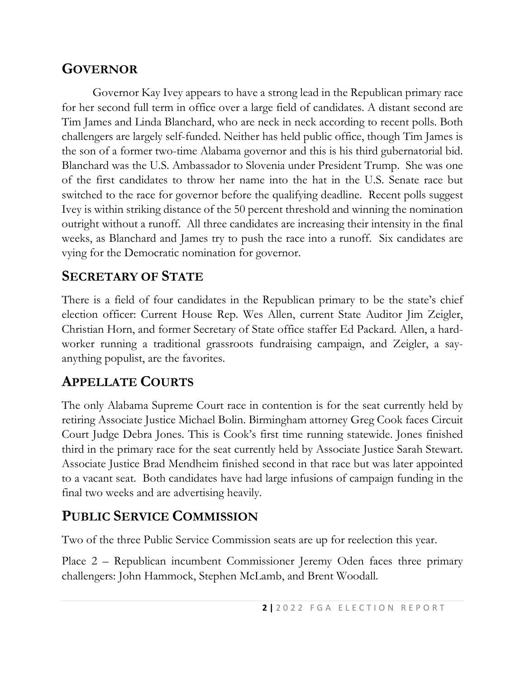#### **GOVERNOR**

Governor Kay Ivey appears to have a strong lead in the Republican primary race for her second full term in office over a large field of candidates. A distant second are Tim James and Linda Blanchard, who are neck in neck according to recent polls. Both challengers are largely self-funded. Neither has held public office, though Tim James is the son of a former two-time Alabama governor and this is his third gubernatorial bid. Blanchard was the U.S. Ambassador to Slovenia under President Trump. She was one of the first candidates to throw her name into the hat in the U.S. Senate race but switched to the race for governor before the qualifying deadline. Recent polls suggest Ivey is within striking distance of the 50 percent threshold and winning the nomination outright without a runoff. All three candidates are increasing their intensity in the final weeks, as Blanchard and James try to push the race into a runoff. Six candidates are vying for the Democratic nomination for governor.

## **SECRETARY OF STATE**

There is a field of four candidates in the Republican primary to be the state's chief election officer: Current House Rep. Wes Allen, current State Auditor Jim Zeigler, Christian Horn, and former Secretary of State office staffer Ed Packard. Allen, a hardworker running a traditional grassroots fundraising campaign, and Zeigler, a sayanything populist, are the favorites.

## **APPELLATE COURTS**

The only Alabama Supreme Court race in contention is for the seat currently held by retiring Associate Justice Michael Bolin. Birmingham attorney Greg Cook faces Circuit Court Judge Debra Jones. This is Cook's first time running statewide. Jones finished third in the primary race for the seat currently held by Associate Justice Sarah Stewart. Associate Justice Brad Mendheim finished second in that race but was later appointed to a vacant seat. Both candidates have had large infusions of campaign funding in the final two weeks and are advertising heavily.

# **PUBLIC SERVICE COMMISSION**

Two of the three Public Service Commission seats are up for reelection this year.

Place 2 – Republican incumbent Commissioner Jeremy Oden faces three primary challengers: John Hammock, Stephen McLamb, and Brent Woodall.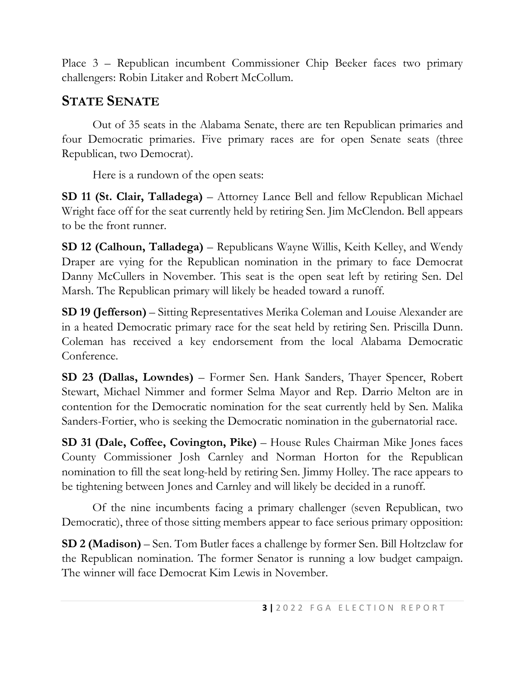Place 3 – Republican incumbent Commissioner Chip Beeker faces two primary challengers: Robin Litaker and Robert McCollum.

#### **STATE SENATE**

Out of 35 seats in the Alabama Senate, there are ten Republican primaries and four Democratic primaries. Five primary races are for open Senate seats (three Republican, two Democrat).

Here is a rundown of the open seats:

**SD 11 (St. Clair, Talladega)** – Attorney Lance Bell and fellow Republican Michael Wright face off for the seat currently held by retiring Sen. Jim McClendon. Bell appears to be the front runner.

**SD 12 (Calhoun, Talladega)** – Republicans Wayne Willis, Keith Kelley, and Wendy Draper are vying for the Republican nomination in the primary to face Democrat Danny McCullers in November. This seat is the open seat left by retiring Sen. Del Marsh. The Republican primary will likely be headed toward a runoff.

**SD 19 (Jefferson)** – Sitting Representatives Merika Coleman and Louise Alexander are in a heated Democratic primary race for the seat held by retiring Sen. Priscilla Dunn. Coleman has received a key endorsement from the local Alabama Democratic Conference.

**SD 23 (Dallas, Lowndes)** – Former Sen. Hank Sanders, Thayer Spencer, Robert Stewart, Michael Nimmer and former Selma Mayor and Rep. Darrio Melton are in contention for the Democratic nomination for the seat currently held by Sen. Malika Sanders-Fortier, who is seeking the Democratic nomination in the gubernatorial race.

**SD 31 (Dale, Coffee, Covington, Pike)** – House Rules Chairman Mike Jones faces County Commissioner Josh Carnley and Norman Horton for the Republican nomination to fill the seat long-held by retiring Sen. Jimmy Holley. The race appears to be tightening between Jones and Carnley and will likely be decided in a runoff.

Of the nine incumbents facing a primary challenger (seven Republican, two Democratic), three of those sitting members appear to face serious primary opposition:

**SD 2 (Madison)** – Sen. Tom Butler faces a challenge by former Sen. Bill Holtzclaw for the Republican nomination. The former Senator is running a low budget campaign. The winner will face Democrat Kim Lewis in November.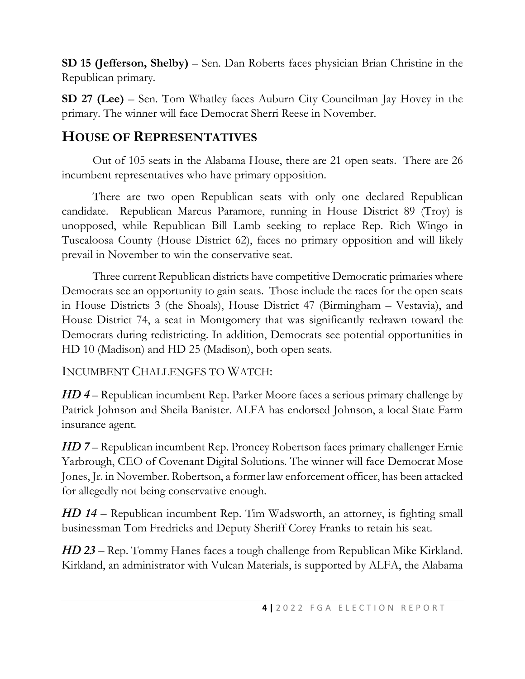**SD 15 (Jefferson, Shelby)** – Sen. Dan Roberts faces physician Brian Christine in the Republican primary.

**SD 27 (Lee)** – Sen. Tom Whatley faces Auburn City Councilman Jay Hovey in the primary. The winner will face Democrat Sherri Reese in November.

#### **HOUSE OF REPRESENTATIVES**

Out of 105 seats in the Alabama House, there are 21 open seats. There are 26 incumbent representatives who have primary opposition.

There are two open Republican seats with only one declared Republican candidate. Republican Marcus Paramore, running in House District 89 (Troy) is unopposed, while Republican Bill Lamb seeking to replace Rep. Rich Wingo in Tuscaloosa County (House District 62), faces no primary opposition and will likely prevail in November to win the conservative seat.

Three current Republican districts have competitive Democratic primaries where Democrats see an opportunity to gain seats. Those include the races for the open seats in House Districts 3 (the Shoals), House District 47 (Birmingham – Vestavia), and House District 74, a seat in Montgomery that was significantly redrawn toward the Democrats during redistricting. In addition, Democrats see potential opportunities in HD 10 (Madison) and HD 25 (Madison), both open seats.

INCUMBENT CHALLENGES TO WATCH:

*HD 4* – Republican incumbent Rep. Parker Moore faces a serious primary challenge by Patrick Johnson and Sheila Banister. ALFA has endorsed Johnson, a local State Farm insurance agent.

*HD 7* – Republican incumbent Rep. Proncey Robertson faces primary challenger Ernie Yarbrough, CEO of Covenant Digital Solutions. The winner will face Democrat Mose Jones, Jr. in November. Robertson, a former law enforcement officer, has been attacked for allegedly not being conservative enough.

*HD 14* – Republican incumbent Rep. Tim Wadsworth, an attorney, is fighting small businessman Tom Fredricks and Deputy Sheriff Corey Franks to retain his seat.

*HD 23* – Rep. Tommy Hanes faces a tough challenge from Republican Mike Kirkland. Kirkland, an administrator with Vulcan Materials, is supported by ALFA, the Alabama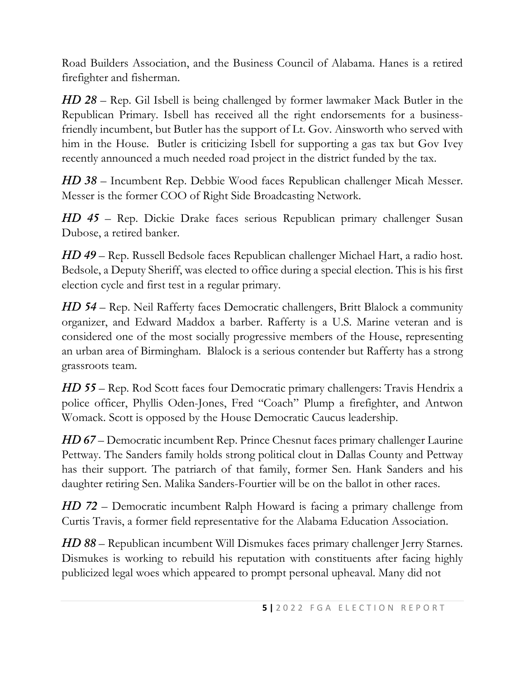Road Builders Association, and the Business Council of Alabama. Hanes is a retired firefighter and fisherman.

*HD 28* – Rep. Gil Isbell is being challenged by former lawmaker Mack Butler in the Republican Primary. Isbell has received all the right endorsements for a businessfriendly incumbent, but Butler has the support of Lt. Gov. Ainsworth who served with him in the House. Butler is criticizing Isbell for supporting a gas tax but Gov Ivey recently announced a much needed road project in the district funded by the tax.

*HD 38* – Incumbent Rep. Debbie Wood faces Republican challenger Micah Messer. Messer is the former COO of Right Side Broadcasting Network.

*HD 45* – Rep. Dickie Drake faces serious Republican primary challenger Susan Dubose, a retired banker.

*HD 49* – Rep. Russell Bedsole faces Republican challenger Michael Hart, a radio host. Bedsole, a Deputy Sheriff, was elected to office during a special election. This is his first election cycle and first test in a regular primary.

*HD 54* – Rep. Neil Rafferty faces Democratic challengers, Britt Blalock a community organizer, and Edward Maddox a barber. Rafferty is a U.S. Marine veteran and is considered one of the most socially progressive members of the House, representing an urban area of Birmingham. Blalock is a serious contender but Rafferty has a strong grassroots team.

*HD 55* – Rep. Rod Scott faces four Democratic primary challengers: Travis Hendrix a police officer, Phyllis Oden-Jones, Fred "Coach" Plump a firefighter, and Antwon Womack. Scott is opposed by the House Democratic Caucus leadership.

*HD 67* – Democratic incumbent Rep. Prince Chesnut faces primary challenger Laurine Pettway. The Sanders family holds strong political clout in Dallas County and Pettway has their support. The patriarch of that family, former Sen. Hank Sanders and his daughter retiring Sen. Malika Sanders-Fourtier will be on the ballot in other races.

*HD 72* – Democratic incumbent Ralph Howard is facing a primary challenge from Curtis Travis, a former field representative for the Alabama Education Association.

*HD 88* – Republican incumbent Will Dismukes faces primary challenger Jerry Starnes. Dismukes is working to rebuild his reputation with constituents after facing highly publicized legal woes which appeared to prompt personal upheaval. Many did not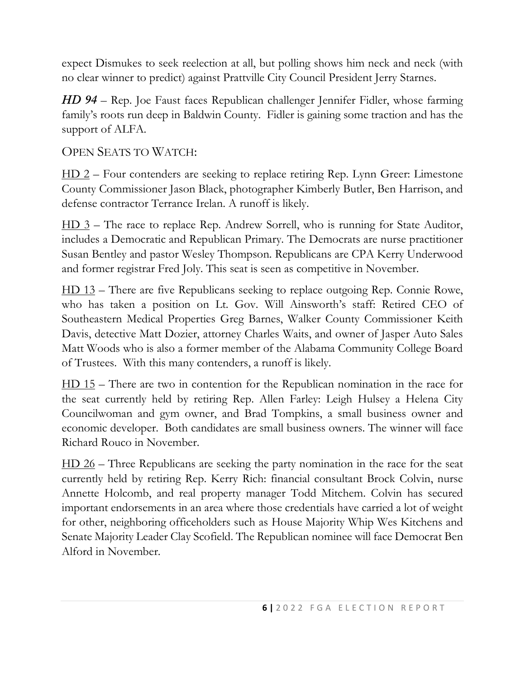expect Dismukes to seek reelection at all, but polling shows him neck and neck (with no clear winner to predict) against Prattville City Council President Jerry Starnes.

*HD 94* – Rep. Joe Faust faces Republican challenger Jennifer Fidler, whose farming family's roots run deep in Baldwin County. Fidler is gaining some traction and has the support of ALFA.

OPEN SEATS TO WATCH:

HD 2 – Four contenders are seeking to replace retiring Rep. Lynn Greer: Limestone County Commissioner Jason Black, photographer Kimberly Butler, Ben Harrison, and defense contractor Terrance Irelan. A runoff is likely.

HD 3 – The race to replace Rep. Andrew Sorrell, who is running for State Auditor, includes a Democratic and Republican Primary. The Democrats are nurse practitioner Susan Bentley and pastor Wesley Thompson. Republicans are CPA Kerry Underwood and former registrar Fred Joly. This seat is seen as competitive in November.

HD 13 – There are five Republicans seeking to replace outgoing Rep. Connie Rowe, who has taken a position on Lt. Gov. Will Ainsworth's staff: Retired CEO of Southeastern Medical Properties Greg Barnes, Walker County Commissioner Keith Davis, detective Matt Dozier, attorney Charles Waits, and owner of Jasper Auto Sales Matt Woods who is also a former member of the Alabama Community College Board of Trustees. With this many contenders, a runoff is likely.

HD 15 – There are two in contention for the Republican nomination in the race for the seat currently held by retiring Rep. Allen Farley: Leigh Hulsey a Helena City Councilwoman and gym owner, and Brad Tompkins, a small business owner and economic developer. Both candidates are small business owners. The winner will face Richard Rouco in November.

HD 26 – Three Republicans are seeking the party nomination in the race for the seat currently held by retiring Rep. Kerry Rich: financial consultant Brock Colvin, nurse Annette Holcomb, and real property manager Todd Mitchem. Colvin has secured important endorsements in an area where those credentials have carried a lot of weight for other, neighboring officeholders such as House Majority Whip Wes Kitchens and Senate Majority Leader Clay Scofield. The Republican nominee will face Democrat Ben Alford in November.